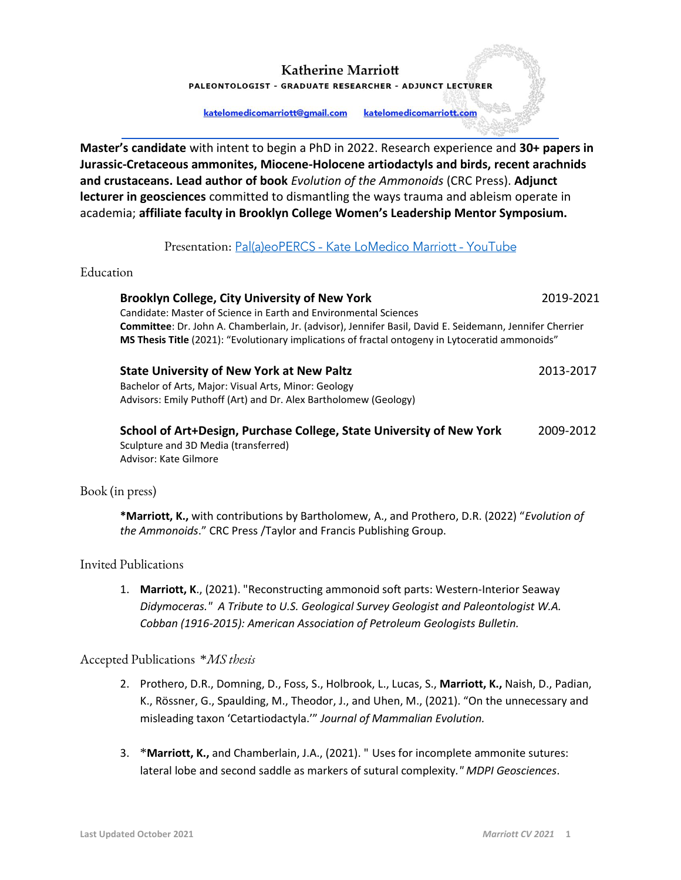PALEONTOLOGIST - GRADUATE RESEARCHER - ADJUNCT LECTURER

katelomedicomarriott@gmail.com katelomedicomarriott.com

**Master's candidate** with intent to begin a PhD in 2022. Research experience and **30+ papers in Jurassic-Cretaceous ammonites, Miocene-Holocene artiodactyls and birds, recent arachnids and crustaceans. Lead author of book** *Evolution of the Ammonoids* (CRC Press). **Adjunct lecturer in geosciences** committed to dismantling the ways trauma and ableism operate in academia; **affiliate faculty in Brooklyn College Women's Leadership Mentor Symposium.**

# Presentation: Pal(a)eoPERCS - Kate LoMedico Marriott - YouTube

#### Education

#### **Brooklyn College, City University of New York** 2019-2021

Candidate: Master of Science in Earth and Environmental Sciences **Committee**: Dr. John A. Chamberlain, Jr. (advisor), Jennifer Basil, David E. Seidemann, Jennifer Cherrier **MS Thesis Title** (2021): "Evolutionary implications of fractal ontogeny in Lytoceratid ammonoids"

| <b>State University of New York at New Paltz</b> | 2013-2017 |
|--------------------------------------------------|-----------|
|--------------------------------------------------|-----------|

Bachelor of Arts, Major: Visual Arts, Minor: Geology Advisors: Emily Puthoff (Art) and Dr. Alex Bartholomew (Geology)

| School of Art+Design, Purchase College, State University of New York | 2009-2012 |
|----------------------------------------------------------------------|-----------|
| Sculpture and 3D Media (transferred)                                 |           |
| Advisor: Kate Gilmore                                                |           |

# Book (in press)

**\*Marriott, K.,** with contributions by Bartholomew, A., and Prothero, D.R. (2022) "*Evolution of the Ammonoids*." CRC Press /Taylor and Francis Publishing Group.

# Invited Publications

1. **Marriott, K**., (2021). "Reconstructing ammonoid soft parts: Western-Interior Seaway *Didymoceras." A Tribute to U.S. Geological Survey Geologist and Paleontologist W.A. Cobban (1916-2015): American Association of Petroleum Geologists Bulletin.*

Accepted Publications \**MS thesis*

- 2. Prothero, D.R., Domning, D., Foss, S., Holbrook, L., Lucas, S., **Marriott, K.,** Naish, D., Padian, K., Rössner, G., Spaulding, M., Theodor, J., and Uhen, M., (2021). "On the unnecessary and misleading taxon 'Cetartiodactyla.'" *Journal of Mammalian Evolution.*
- 3. \***Marriott, K.,** and Chamberlain, J.A., (2021). " Uses for incomplete ammonite sutures: lateral lobe and second saddle as markers of sutural complexity*." MDPI Geosciences*.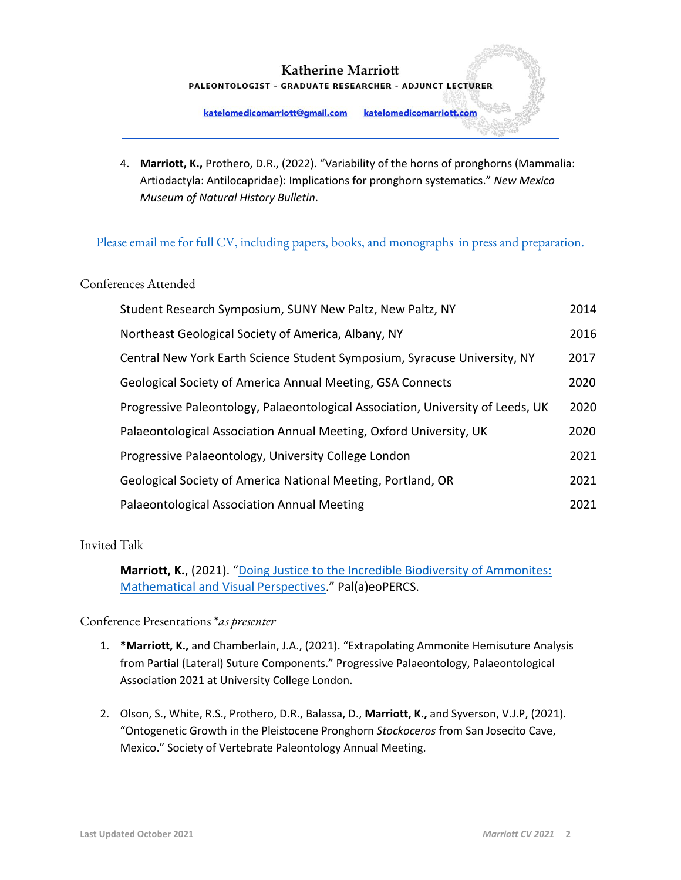# **Katherine Marriott** PALEONTOLOGIST - GRADUATE RESEARCHER - ADJUNCT LECTURER

katelomedicomarriott@gmail.com katelomedicomarriott.com

4. **Marriott, K.,** Prothero, D.R., (2022). "Variability of the horns of pronghorns (Mammalia: Artiodactyla: Antilocapridae): Implications for pronghorn systematics." *New Mexico Museum of Natural History Bulletin*.

# [Please email me for full CV, including papers, books,](mailto:katelomedicomarriott@gmail.com) and monographs in press and preparation.

# Conferences Attended

| Student Research Symposium, SUNY New Paltz, New Paltz, NY                       | 2014 |
|---------------------------------------------------------------------------------|------|
| Northeast Geological Society of America, Albany, NY                             | 2016 |
| Central New York Earth Science Student Symposium, Syracuse University, NY       | 2017 |
| Geological Society of America Annual Meeting, GSA Connects                      | 2020 |
| Progressive Paleontology, Palaeontological Association, University of Leeds, UK | 2020 |
| Palaeontological Association Annual Meeting, Oxford University, UK              | 2020 |
| Progressive Palaeontology, University College London                            | 2021 |
| Geological Society of America National Meeting, Portland, OR                    | 2021 |
| Palaeontological Association Annual Meeting                                     | 2021 |

# Invited Talk

**Marriott, K.**, (2021). "[Doing Justice to the Incredible Biodiversity of Ammonites:](Pal(a)eoPERCS%20-%20Kate%20LoMedico%20Marriott%20-%20YouTube)  [Mathematical and Visual Perspectives](Pal(a)eoPERCS%20-%20Kate%20LoMedico%20Marriott%20-%20YouTube)." Pal(a)eoPERCS.

Conference Presentations \**as presenter*

- 1. **\*Marriott, K.,** and Chamberlain, J.A., (2021). "Extrapolating Ammonite Hemisuture Analysis from Partial (Lateral) Suture Components." Progressive Palaeontology, Palaeontological Association 2021 at University College London.
- 2. Olson, S., White, R.S., Prothero, D.R., Balassa, D., **Marriott, K.,** and Syverson, V.J.P, (2021). "Ontogenetic Growth in the Pleistocene Pronghorn *Stockoceros* from San Josecito Cave, Mexico." Society of Vertebrate Paleontology Annual Meeting.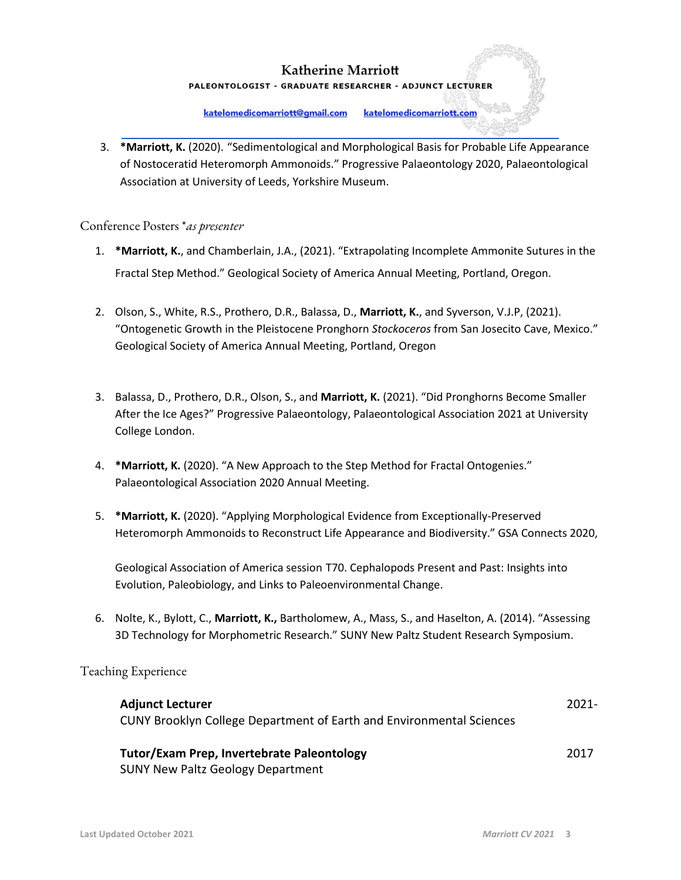PALEONTOLOGIST - GRADUATE RESEARCHER - ADJUNCT LECTURER

katelomedicomarriott@gmail.com katelomedicomarriott.com

3. **\*Marriott, K.** (2020). "Sedimentological and Morphological Basis for Probable Life Appearance of Nostoceratid Heteromorph Ammonoids." Progressive Palaeontology 2020, Palaeontological Association at University of Leeds, Yorkshire Museum.

#### Conference Posters \**as presenter*

- 1. **\*Marriott, K.**, and Chamberlain, J.A., (2021). "Extrapolating Incomplete Ammonite Sutures in the Fractal Step Method." Geological Society of America Annual Meeting, Portland, Oregon.
- 2. Olson, S., White, R.S., Prothero, D.R., Balassa, D., **Marriott, K.**, and Syverson, V.J.P, (2021). "Ontogenetic Growth in the Pleistocene Pronghorn *Stockoceros* from San Josecito Cave, Mexico." Geological Society of America Annual Meeting, Portland, Oregon
- 3. Balassa, D., Prothero, D.R., Olson, S., and **Marriott, K.** (2021). "Did Pronghorns Become Smaller After the Ice Ages?" Progressive Palaeontology, Palaeontological Association 2021 at University College London.
- 4. **\*Marriott, K.** (2020). "A New Approach to the Step Method for Fractal Ontogenies." Palaeontological Association 2020 Annual Meeting.
- 5. **\*Marriott, K.** (2020). "Applying Morphological Evidence from Exceptionally-Preserved Heteromorph Ammonoids to Reconstruct Life Appearance and Biodiversity." GSA Connects 2020,

Geological Association of America session T70. Cephalopods Present and Past: Insights into Evolution, Paleobiology, and Links to Paleoenvironmental Change.

6. Nolte, K., Bylott, C., **Marriott, K.,** Bartholomew, A., Mass, S., and Haselton, A. (2014). "Assessing 3D Technology for Morphometric Research." SUNY New Paltz Student Research Symposium.

#### Teaching Experience

| <b>Adjunct Lecturer</b><br>CUNY Brooklyn College Department of Earth and Environmental Sciences | $2021 -$ |
|-------------------------------------------------------------------------------------------------|----------|
| Tutor/Exam Prep, Invertebrate Paleontology<br><b>SUNY New Paltz Geology Department</b>          | 2017     |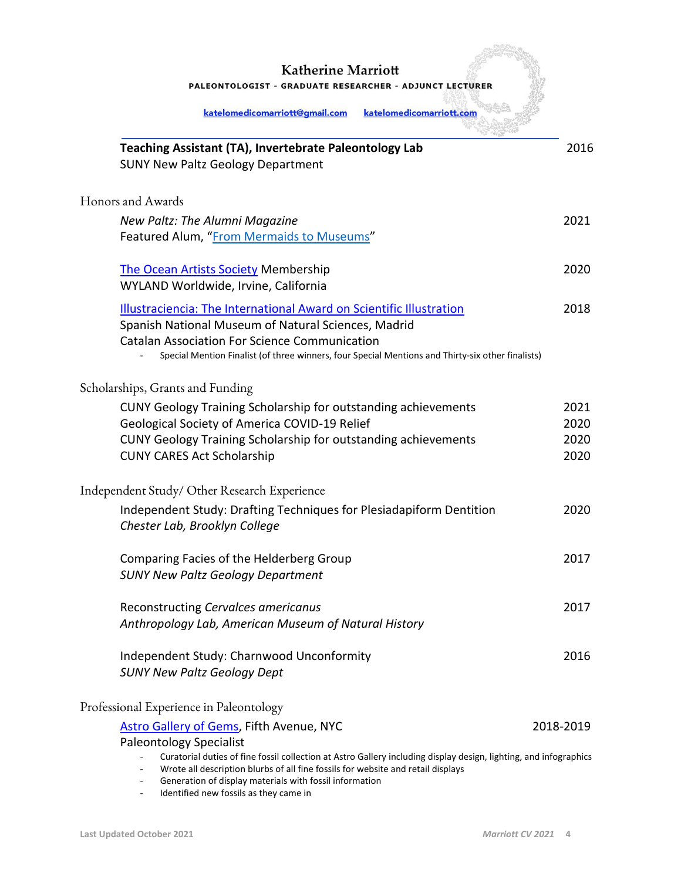PALEONTOLOGIST - GRADUATE RESEARCHER - ADJUNCT LECTURER

| katelomedicomarriott@gmail.com<br>katelomedicomarriott.com                                                                                                                                                                                                                              |              |
|-----------------------------------------------------------------------------------------------------------------------------------------------------------------------------------------------------------------------------------------------------------------------------------------|--------------|
| Teaching Assistant (TA), Invertebrate Paleontology Lab<br><b>SUNY New Paltz Geology Department</b>                                                                                                                                                                                      | 2016         |
| Honors and Awards                                                                                                                                                                                                                                                                       |              |
| New Paltz: The Alumni Magazine<br>Featured Alum, "From Mermaids to Museums"                                                                                                                                                                                                             | 2021         |
| <b>The Ocean Artists Society Membership</b><br>WYLAND Worldwide, Irvine, California                                                                                                                                                                                                     | 2020         |
| Illustraciencia: The International Award on Scientific Illustration<br>Spanish National Museum of Natural Sciences, Madrid<br><b>Catalan Association For Science Communication</b><br>Special Mention Finalist (of three winners, four Special Mentions and Thirty-six other finalists) | 2018         |
| Scholarships, Grants and Funding                                                                                                                                                                                                                                                        |              |
| <b>CUNY Geology Training Scholarship for outstanding achievements</b>                                                                                                                                                                                                                   | 2021         |
| Geological Society of America COVID-19 Relief                                                                                                                                                                                                                                           | 2020         |
| <b>CUNY Geology Training Scholarship for outstanding achievements</b><br><b>CUNY CARES Act Scholarship</b>                                                                                                                                                                              | 2020<br>2020 |
| Independent Study/ Other Research Experience                                                                                                                                                                                                                                            |              |
| Independent Study: Drafting Techniques for Plesiadapiform Dentition<br>Chester Lab, Brooklyn College                                                                                                                                                                                    | 2020         |
| Comparing Facies of the Helderberg Group                                                                                                                                                                                                                                                | 2017         |
| <b>SUNY New Paltz Geology Department</b>                                                                                                                                                                                                                                                |              |
| Reconstructing Cervalces americanus<br>Anthropology Lab, American Museum of Natural History                                                                                                                                                                                             | 2017         |
| Independent Study: Charnwood Unconformity                                                                                                                                                                                                                                               | 2016         |
| <b>SUNY New Paltz Geology Dept</b>                                                                                                                                                                                                                                                      |              |
| Professional Experience in Paleontology                                                                                                                                                                                                                                                 |              |
| <b>Astro Gallery of Gems, Fifth Avenue, NYC</b>                                                                                                                                                                                                                                         | 2018-2019    |
| <b>Paleontology Specialist</b>                                                                                                                                                                                                                                                          |              |
| Curatorial duties of fine fossil collection at Astro Gallery including display design, lighting, and infographics<br>Wrote all description blurbs of all fine fossils for website and retail displays                                                                                   |              |

- Generation of display materials with fossil information
- Identified new fossils as they came in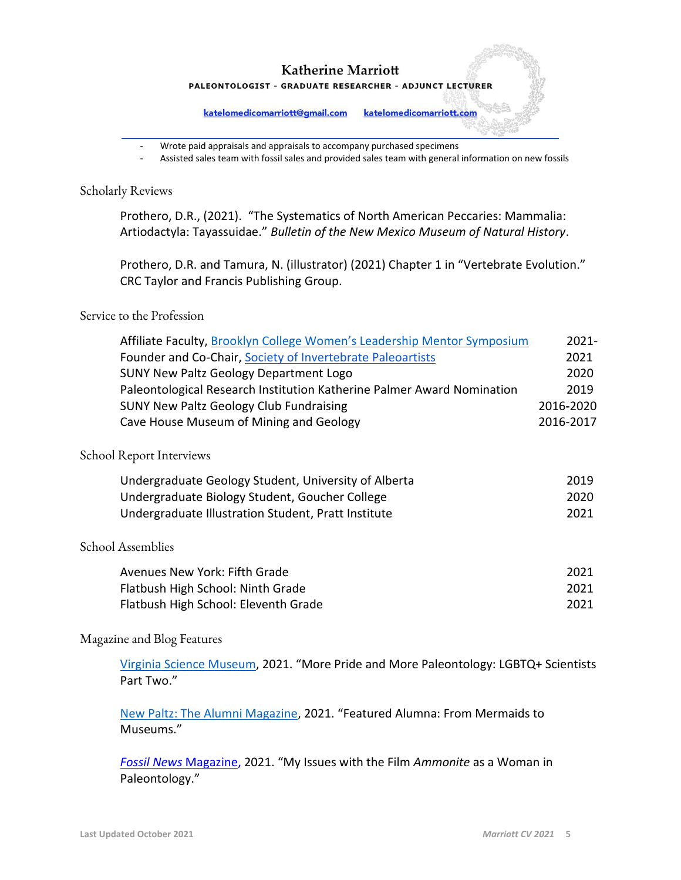PALEONTOLOGIST - GRADUATE RESEARCHER - ADJUNCT LECTURER

katelomedicomarriott@gmail.com katelomedicomarriott.com

- Wrote paid appraisals and appraisals to accompany purchased specimens
- Assisted sales team with fossil sales and provided sales team with general information on new fossils

#### Scholarly Reviews

Prothero, D.R., (2021). "The Systematics of North American Peccaries: Mammalia: Artiodactyla: Tayassuidae." *Bulletin of the New Mexico Museum of Natural History*.

Prothero, D.R. and Tamura, N. (illustrator) (2021) Chapter 1 in "Vertebrate Evolution." CRC Taylor and Francis Publishing Group.

#### Service to the Profession

| Affiliate Faculty, Brooklyn College Women's Leadership Mentor Symposium | $2021 -$  |
|-------------------------------------------------------------------------|-----------|
| Founder and Co-Chair, Society of Invertebrate Paleoartists              | 2021      |
| <b>SUNY New Paltz Geology Department Logo</b>                           | 2020      |
| Paleontological Research Institution Katherine Palmer Award Nomination  | 2019      |
| <b>SUNY New Paltz Geology Club Fundraising</b>                          | 2016-2020 |
| Cave House Museum of Mining and Geology                                 | 2016-2017 |
| School Report Interviews                                                |           |
| Undergraduate Geology Student, University of Alberta                    | 2019      |
| Undergraduate Biology Student, Goucher College                          | 2020      |
| Undergraduate Illustration Student, Pratt Institute                     | 2021      |
| School Assemblies                                                       |           |
| Avenues New York: Fifth Grade                                           | 2021      |
| Flatbush High School: Ninth Grade                                       | 2021      |
| Flatbush High School: Eleventh Grade                                    | 2021      |

# Magazine and Blog Features

[Virginia Science Museum](https://smv.org/learn/blog/pride-paleontology-highlighting-more-lgbtq-scientists/), 2021. "More Pride and More Paleontology: LGBTQ+ Scientists Part Two."

[New](https://www.newpaltz.edu/magazine-spring-2021/mermaids-to-museums/) Paltz: The Alumni Magazine, 2021. "Featured Alumna: From Mermaids to Museums."

*[Fossil News](https://fossilnews.org/backissues/spring-2019/)* [Magazine,](https://fossilnews.org/backissues/spring-2019/) 2021. "My Issues with the Film *Ammonite* as a Woman in Paleontology."